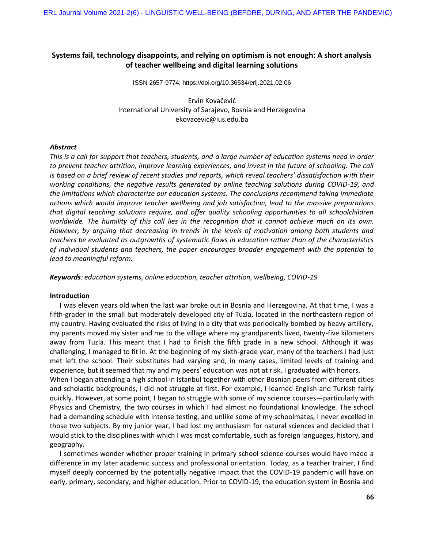# **Systems fail, technology disappoints, and relying on optimism is not enough: A short analysis of teacher wellbeing and digital learning solutions**

ISSN 2657-9774; https://doi.org/10.36534/erlj.2021.02.06

Ervin Kovačević International University of Sarajevo, Bosnia and Herzegovina ekovacevic@ius.edu.ba

## *Abstract*

*This is a call for support that teachers, students, and a large number of education systems need in order to prevent teacher attrition, improve learning experiences, and invest in the future of schooling. The call is based on a brief review of recent studies and reports, which reveal teachers' dissatisfaction with their working conditions, the negative results generated by online teaching solutions during COVID-19, and the limitations which characterize our education systems. The conclusions recommend taking immediate actions which would improve teacher wellbeing and job satisfaction, lead to the massive preparations that digital teaching solutions require, and offer quality schooling opportunities to all schoolchildren worldwide. The humility of this call lies in the recognition that it cannot achieve much on its own. However, by arguing that decreasing in trends in the levels of motivation among both students and teachers be evaluated as outgrowths of systematic flaws in education rather than of the characteristics of individual students and teachers, the paper encourages broader engagement with the potential to lead to meaningful reform.* 

*Keywords: education systems, online education, teacher attrition, wellbeing, COVID-19* 

### **Introduction**

I was eleven years old when the last war broke out in Bosnia and Herzegovina. At that time, I was a fifth-grader in the small but moderately developed city of Tuzla, located in the northeastern region of my country. Having evaluated the risks of living in a city that was periodically bombed by heavy artillery, my parents moved my sister and me to the village where my grandparents lived, twenty-five kilometers away from Tuzla. This meant that I had to finish the fifth grade in a new school. Although it was challenging, I managed to fit in. At the beginning of my sixth-grade year, many of the teachers I had just met left the school. Their substitutes had varying and, in many cases, limited levels of training and experience, but it seemed that my and my peers' education was not at risk. I graduated with honors. When I began attending a high school in Istanbul together with other Bosnian peers from different cities

and scholastic backgrounds, I did not struggle at first. For example, I learned English and Turkish fairly quickly. However, at some point, I began to struggle with some of my science courses—particularly with Physics and Chemistry, the two courses in which I had almost no foundational knowledge. The school had a demanding schedule with intense testing, and unlike some of my schoolmates, I never excelled in those two subjects. By my junior year, I had lost my enthusiasm for natural sciences and decided that I would stick to the disciplines with which I was most comfortable, such as foreign languages, history, and geography.

I sometimes wonder whether proper training in primary school science courses would have made a difference in my later academic success and professional orientation. Today, as a teacher trainer, I find myself deeply concerned by the potentially negative impact that the COVID-19 pandemic will have on early, primary, secondary, and higher education. Prior to COVID-19, the education system in Bosnia and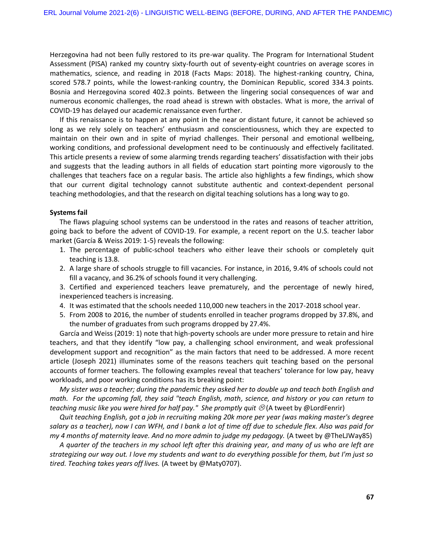Herzegovina had not been fully restored to its pre-war quality. The Program for International Student Assessment (PISA) ranked my country sixty-fourth out of seventy-eight countries on average scores in mathematics, science, and reading in 2018 (Facts Maps: 2018). The highest-ranking country, China, scored 578.7 points, while the lowest-ranking country, the Dominican Republic, scored 334.3 points. Bosnia and Herzegovina scored 402.3 points. Between the lingering social consequences of war and numerous economic challenges, the road ahead is strewn with obstacles. What is more, the arrival of COVID-19 has delayed our academic renaissance even further.

If this renaissance is to happen at any point in the near or distant future, it cannot be achieved so long as we rely solely on teachers' enthusiasm and conscientiousness, which they are expected to maintain on their own and in spite of myriad challenges. Their personal and emotional wellbeing, working conditions, and professional development need to be continuously and effectively facilitated. This article presents a review of some alarming trends regarding teachers' dissatisfaction with their jobs and suggests that the leading authors in all fields of education start pointing more vigorously to the challenges that teachers face on a regular basis. The article also highlights a few findings, which show that our current digital technology cannot substitute authentic and context-dependent personal teaching methodologies, and that the research on digital teaching solutions has a long way to go.

#### **Systems fail**

The flaws plaguing school systems can be understood in the rates and reasons of teacher attrition, going back to before the advent of COVID-19. For example, a recent report on the U.S. teacher labor market (García & Weiss 2019: 1-5) reveals the following:

- 1. The percentage of public-school teachers who either leave their schools or completely quit teaching is 13.8.
- 2. A large share of schools struggle to fill vacancies. For instance, in 2016, 9.4% of schools could not fill a vacancy, and 36.2% of schools found it very challenging.
- 3. Certified and experienced teachers leave prematurely, and the percentage of newly hired, inexperienced teachers is increasing.
- 4. It was estimated that the schools needed 110,000 new teachers in the 2017-2018 school year.
- 5. From 2008 to 2016, the number of students enrolled in teacher programs dropped by 37.8%, and the number of graduates from such programs dropped by 27.4%.

García and Weiss (2019: 1) note that high-poverty schools are under more pressure to retain and hire teachers, and that they identify "low pay, a challenging school environment, and weak professional development support and recognition" as the main factors that need to be addressed. A more recent article (Joseph 2021) illuminates some of the reasons teachers quit teaching based on the personal accounts of former teachers. The following examples reveal that teachers' tolerance for low pay, heavy workloads, and poor working conditions has its breaking point:

*My sister was a teacher; during the pandemic they asked her to double up and teach both English and math. For the upcoming fall, they said "teach English, math, science, and history or you can return to teaching music like you were hired for half pay." She promptly quit*   $\mathcal{O}(A)$  tweet by  $\mathcal{O}(A)$  teaching

*Quit teaching English, got a job in recruiting making 20k more per year (was making master's degree salary as a teacher), now I can WFH, and I bank a lot of time off due to schedule flex. Also was paid for my 4 months of maternity leave. And no more admin to judge my pedagogy.* (A tweet by @TheLJWay85)

*A quarter of the teachers in my school left after this draining year, and many of us who are left are strategizing our way out. I love my students and want to do everything possible for them, but I'm just so tired. Teaching takes years off lives.* (A tweet by @Maty0707).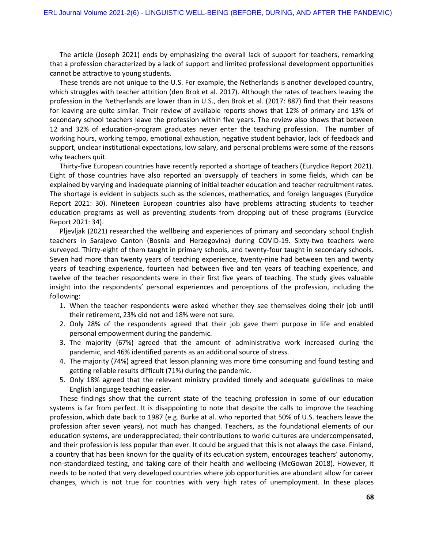The article (Joseph 2021) ends by emphasizing the overall lack of support for teachers, remarking that a profession characterized by a lack of support and limited professional development opportunities cannot be attractive to young students.

These trends are not unique to the U.S. For example, the Netherlands is another developed country, which struggles with teacher attrition (den Brok et al. 2017). Although the rates of teachers leaving the profession in the Netherlands are lower than in U.S., den Brok et al. (2017: 887) find that their reasons for leaving are quite similar. Their review of available reports shows that 12% of primary and 13% of secondary school teachers leave the profession within five years. The review also shows that between 12 and 32% of education-program graduates never enter the teaching profession. The number of working hours, working tempo, emotional exhaustion, negative student behavior, lack of feedback and support, unclear institutional expectations, low salary, and personal problems were some of the reasons why teachers quit.

Thirty-five European countries have recently reported a shortage of teachers (Eurydice Report 2021). Eight of those countries have also reported an oversupply of teachers in some fields, which can be explained by varying and inadequate planning of initial teacher education and teacher recruitment rates. The shortage is evident in subjects such as the sciences, mathematics, and foreign languages (Eurydice Report 2021: 30). Nineteen European countries also have problems attracting students to teacher education programs as well as preventing students from dropping out of these programs (Eurydice Report 2021: 34).

Pljevljak (2021) researched the wellbeing and experiences of primary and secondary school English teachers in Sarajevo Canton (Bosnia and Herzegovina) during COVID-19. Sixty-two teachers were surveyed. Thirty-eight of them taught in primary schools, and twenty-four taught in secondary schools. Seven had more than twenty years of teaching experience, twenty-nine had between ten and twenty years of teaching experience, fourteen had between five and ten years of teaching experience, and twelve of the teacher respondents were in their first five years of teaching. The study gives valuable insight into the respondents' personal experiences and perceptions of the profession, including the following:

- 1. When the teacher respondents were asked whether they see themselves doing their job until their retirement, 23% did not and 18% were not sure.
- 2. Only 28% of the respondents agreed that their job gave them purpose in life and enabled personal empowerment during the pandemic.
- 3. The majority (67%) agreed that the amount of administrative work increased during the pandemic, and 46% identified parents as an additional source of stress.
- 4. The majority (74%) agreed that lesson planning was more time consuming and found testing and getting reliable results difficult (71%) during the pandemic.
- 5. Only 18% agreed that the relevant ministry provided timely and adequate guidelines to make English language teaching easier.

These findings show that the current state of the teaching profession in some of our education systems is far from perfect. It is disappointing to note that despite the calls to improve the teaching profession, which date back to 1987 (e.g. Burke at al. who reported that 50% of U.S. teachers leave the profession after seven years), not much has changed. Teachers, as the foundational elements of our education systems, are underappreciated; their contributions to world cultures are undercompensated, and their profession is less popular than ever. It could be argued that this is not always the case. Finland, a country that has been known for the quality of its education system, encourages teachers' autonomy, non-standardized testing, and taking care of their health and wellbeing (McGowan 2018). However, it needs to be noted that very developed countries where job opportunities are abundant allow for career changes, which is not true for countries with very high rates of unemployment. In these places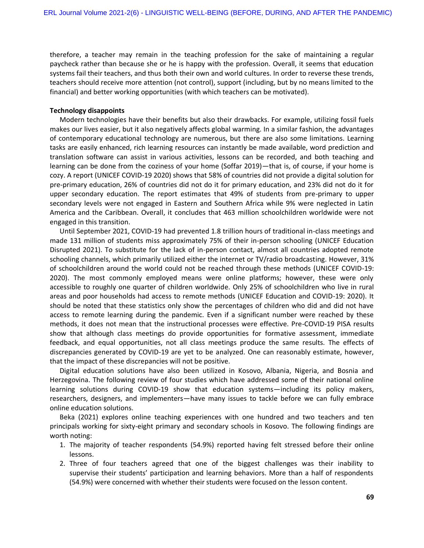therefore, a teacher may remain in the teaching profession for the sake of maintaining a regular paycheck rather than because she or he is happy with the profession. Overall, it seems that education systems fail their teachers, and thus both their own and world cultures. In order to reverse these trends, teachers should receive more attention (not control), support (including, but by no means limited to the financial) and better working opportunities (with which teachers can be motivated).

#### **Technology disappoints**

Modern technologies have their benefits but also their drawbacks. For example, utilizing fossil fuels makes our lives easier, but it also negatively affects global warming. In a similar fashion, the advantages of contemporary educational technology are numerous, but there are also some limitations. Learning tasks are easily enhanced, rich learning resources can instantly be made available, word prediction and translation software can assist in various activities, lessons can be recorded, and both teaching and learning can be done from the coziness of your home (Soffar 2019)—that is, of course, if your home is cozy. A report (UNICEF COVID-19 2020) shows that 58% of countries did not provide a digital solution for pre-primary education, 26% of countries did not do it for primary education, and 23% did not do it for upper secondary education. The report estimates that 49% of students from pre-primary to upper secondary levels were not engaged in Eastern and Southern Africa while 9% were neglected in Latin America and the Caribbean. Overall, it concludes that 463 million schoolchildren worldwide were not engaged in this transition.

Until September 2021, COVID-19 had prevented 1.8 trillion hours of traditional in-class meetings and made 131 million of students miss approximately 75% of their in-person schooling (UNICEF Education Disrupted 2021). To substitute for the lack of in-person contact, almost all countries adopted remote schooling channels, which primarily utilized either the internet or TV/radio broadcasting. However, 31% of schoolchildren around the world could not be reached through these methods (UNICEF COVID-19: 2020). The most commonly employed means were online platforms; however, these were only accessible to roughly one quarter of children worldwide. Only 25% of schoolchildren who live in rural areas and poor households had access to remote methods (UNICEF Education and COVID-19: 2020). It should be noted that these statistics only show the percentages of children who did and did not have access to remote learning during the pandemic. Even if a significant number were reached by these methods, it does not mean that the instructional processes were effective. Pre-COVID-19 PISA results show that although class meetings do provide opportunities for formative assessment, immediate feedback, and equal opportunities, not all class meetings produce the same results. The effects of discrepancies generated by COVID-19 are yet to be analyzed. One can reasonably estimate, however, that the impact of these discrepancies will not be positive.

Digital education solutions have also been utilized in Kosovo, Albania, Nigeria, and Bosnia and Herzegovina. The following review of four studies which have addressed some of their national online learning solutions during COVID-19 show that education systems—including its policy makers, researchers, designers, and implementers—have many issues to tackle before we can fully embrace online education solutions.

Beka (2021) explores online teaching experiences with one hundred and two teachers and ten principals working for sixty-eight primary and secondary schools in Kosovo. The following findings are worth noting:

- 1. The majority of teacher respondents (54.9%) reported having felt stressed before their online lessons.
- 2. Three of four teachers agreed that one of the biggest challenges was their inability to supervise their students' participation and learning behaviors. More than a half of respondents (54.9%) were concerned with whether their students were focused on the lesson content.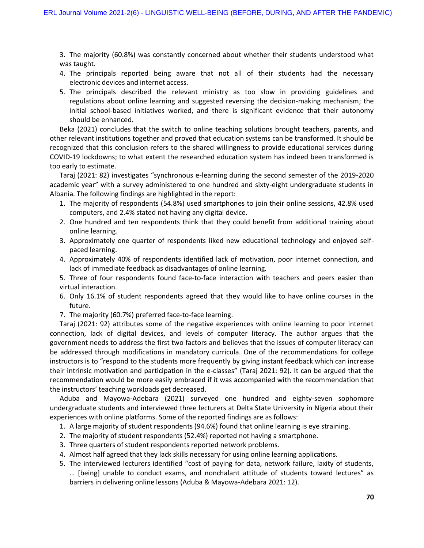3. The majority (60.8%) was constantly concerned about whether their students understood what was taught.

- 4. The principals reported being aware that not all of their students had the necessary electronic devices and internet access.
- 5. The principals described the relevant ministry as too slow in providing guidelines and regulations about online learning and suggested reversing the decision-making mechanism; the initial school-based initiatives worked, and there is significant evidence that their autonomy should be enhanced.

Beka (2021) concludes that the switch to online teaching solutions brought teachers, parents, and other relevant institutions together and proved that education systems can be transformed. It should be recognized that this conclusion refers to the shared willingness to provide educational services during COVID-19 lockdowns; to what extent the researched education system has indeed been transformed is too early to estimate.

Taraj (2021: 82) investigates "synchronous e-learning during the second semester of the 2019-2020 academic year" with a survey administered to one hundred and sixty-eight undergraduate students in Albania. The following findings are highlighted in the report:

- 1. The majority of respondents (54.8%) used smartphones to join their online sessions, 42.8% used computers, and 2.4% stated not having any digital device.
- 2. One hundred and ten respondents think that they could benefit from additional training about online learning.
- 3. Approximately one quarter of respondents liked new educational technology and enjoyed selfpaced learning.
- 4. Approximately 40% of respondents identified lack of motivation, poor internet connection, and lack of immediate feedback as disadvantages of online learning.

5. Three of four respondents found face-to-face interaction with teachers and peers easier than virtual interaction.

- 6. Only 16.1% of student respondents agreed that they would like to have online courses in the future.
- 7. The majority (60.7%) preferred face-to-face learning.

Taraj (2021: 92) attributes some of the negative experiences with online learning to poor internet connection, lack of digital devices, and levels of computer literacy. The author argues that the government needs to address the first two factors and believes that the issues of computer literacy can be addressed through modifications in mandatory curricula. One of the recommendations for college instructors is to "respond to the students more frequently by giving instant feedback which can increase their intrinsic motivation and participation in the e-classes" (Taraj 2021: 92). It can be argued that the recommendation would be more easily embraced if it was accompanied with the recommendation that the instructors' teaching workloads get decreased.

Aduba and Mayowa-Adebara (2021) surveyed one hundred and eighty-seven sophomore undergraduate students and interviewed three lecturers at Delta State University in Nigeria about their experiences with online platforms. Some of the reported findings are as follows:

- 1. A large majority of student respondents (94.6%) found that online learning is eye straining.
- 2. The majority of student respondents (52.4%) reported not having a smartphone.
- 3. Three quarters of student respondents reported network problems.
- 4. Almost half agreed that they lack skills necessary for using online learning applications.
- 5. The interviewed lecturers identified "cost of paying for data, network failure, laxity of students, … [being] unable to conduct exams, and nonchalant attitude of students toward lectures" as barriers in delivering online lessons (Aduba & Mayowa-Adebara 2021: 12).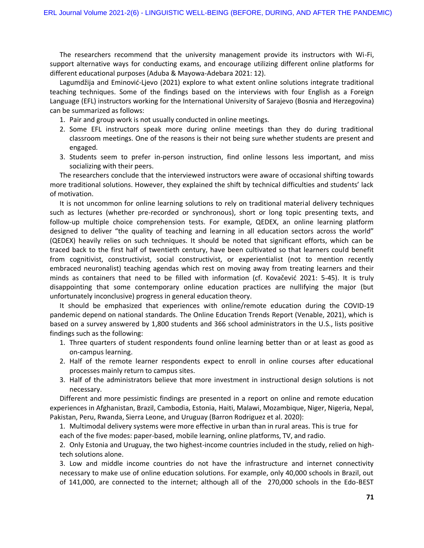The researchers recommend that the university management provide its instructors with Wi-Fi, support alternative ways for conducting exams, and encourage utilizing different online platforms for different educational purposes (Aduba & Mayowa-Adebara 2021: 12).

Lagumdžija and Eminović-Ljevo (2021) explore to what extent online solutions integrate traditional teaching techniques. Some of the findings based on the interviews with four English as a Foreign Language (EFL) instructors working for the International University of Sarajevo (Bosnia and Herzegovina) can be summarized as follows:

- 1. Pair and group work is not usually conducted in online meetings.
- 2. Some EFL instructors speak more during online meetings than they do during traditional classroom meetings. One of the reasons is their not being sure whether students are present and engaged.
- 3. Students seem to prefer in-person instruction, find online lessons less important, and miss socializing with their peers.

The researchers conclude that the interviewed instructors were aware of occasional shifting towards more traditional solutions. However, they explained the shift by technical difficulties and students' lack of motivation.

It is not uncommon for online learning solutions to rely on traditional material delivery techniques such as lectures (whether pre-recorded or synchronous), short or long topic presenting texts, and follow-up multiple choice comprehension tests. For example, QEDEX, an online learning platform designed to deliver "the quality of teaching and learning in all education sectors across the world" (QEDEX) heavily relies on such techniques. It should be noted that significant efforts, which can be traced back to the first half of twentieth century, have been cultivated so that learners could benefit from cognitivist, constructivist, social constructivist, or experientialist (not to mention recently embraced neuronalist) teaching agendas which rest on moving away from treating learners and their minds as containers that need to be filled with information (cf. Kovačević 2021: 5-45). It is truly disappointing that some contemporary online education practices are nullifying the major (but unfortunately inconclusive) progress in general education theory.

It should be emphasized that experiences with online/remote education during the COVID-19 pandemic depend on national standards. The Online Education Trends Report (Venable, 2021), which is based on a survey answered by 1,800 students and 366 school administrators in the U.S., lists positive findings such as the following:

- 1. Three quarters of student respondents found online learning better than or at least as good as on-campus learning.
- 2. Half of the remote learner respondents expect to enroll in online courses after educational processes mainly return to campus sites.
- 3. Half of the administrators believe that more investment in instructional design solutions is not necessary.

Different and more pessimistic findings are presented in a report on online and remote education experiences in Afghanistan, Brazil, Cambodia, Estonia, Haiti, Malawi, Mozambique, Niger, Nigeria, Nepal, Pakistan, Peru, Rwanda, Sierra Leone, and Uruguay (Barron Rodriguez et al. 2020):

1. Multimodal delivery systems were more effective in urban than in rural areas. This is true for each of the five modes: paper-based, mobile learning, online platforms, TV, and radio.

2. Only Estonia and Uruguay, the two highest-income countries included in the study, relied on hightech solutions alone.

3. Low and middle income countries do not have the infrastructure and internet connectivity necessary to make use of online education solutions. For example, only 40,000 schools in Brazil, out of 141,000, are connected to the internet; although all of the 270,000 schools in the Edo-BEST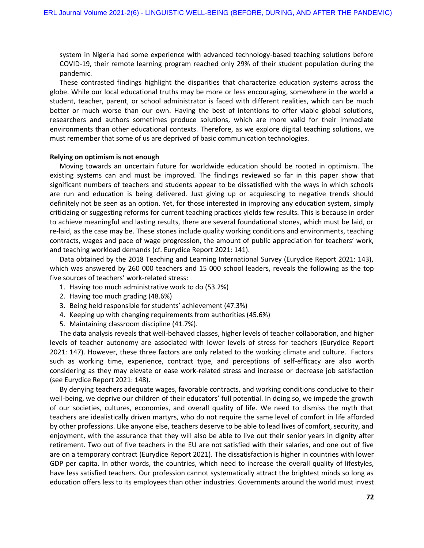system in Nigeria had some experience with advanced technology-based teaching solutions before COVID-19, their remote learning program reached only 29% of their student population during the pandemic.

These contrasted findings highlight the disparities that characterize education systems across the globe. While our local educational truths may be more or less encouraging, somewhere in the world a student, teacher, parent, or school administrator is faced with different realities, which can be much better or much worse than our own. Having the best of intentions to offer viable global solutions, researchers and authors sometimes produce solutions, which are more valid for their immediate environments than other educational contexts. Therefore, as we explore digital teaching solutions, we must remember that some of us are deprived of basic communication technologies.

#### **Relying on optimism is not enough**

Moving towards an uncertain future for worldwide education should be rooted in optimism. The existing systems can and must be improved. The findings reviewed so far in this paper show that significant numbers of teachers and students appear to be dissatisfied with the ways in which schools are run and education is being delivered. Just giving up or acquiescing to negative trends should definitely not be seen as an option. Yet, for those interested in improving any education system, simply criticizing or suggesting reforms for current teaching practices yields few results. This is because in order to achieve meaningful and lasting results, there are several foundational stones, which must be laid, or re-laid, as the case may be. These stones include quality working conditions and environments, teaching contracts, wages and pace of wage progression, the amount of public appreciation for teachers' work, and teaching workload demands (cf. Eurydice Report 2021: 141).

Data obtained by the 2018 Teaching and Learning International Survey (Eurydice Report 2021: 143), which was answered by 260 000 teachers and 15 000 school leaders, reveals the following as the top five sources of teachers' work-related stress:

- 1. Having too much administrative work to do (53.2%)
- 2. Having too much grading (48.6%)
- 3. Being held responsible for students' achievement (47.3%)
- 4. Keeping up with changing requirements from authorities (45.6%)
- 5. Maintaining classroom discipline (41.7%).

The data analysis reveals that well-behaved classes, higher levels of teacher collaboration, and higher levels of teacher autonomy are associated with lower levels of stress for teachers (Eurydice Report 2021: 147). However, these three factors are only related to the working climate and culture. Factors such as working time, experience, contract type, and perceptions of self-efficacy are also worth considering as they may elevate or ease work-related stress and increase or decrease job satisfaction (see Eurydice Report 2021: 148).

By denying teachers adequate wages, favorable contracts, and working conditions conducive to their well-being, we deprive our children of their educators' full potential. In doing so, we impede the growth of our societies, cultures, economies, and overall quality of life. We need to dismiss the myth that teachers are idealistically driven martyrs, who do not require the same level of comfort in life afforded by other professions. Like anyone else, teachers deserve to be able to lead lives of comfort, security, and enjoyment, with the assurance that they will also be able to live out their senior years in dignity after retirement. Two out of five teachers in the EU are not satisfied with their salaries, and one out of five are on a temporary contract (Eurydice Report 2021). The dissatisfaction is higher in countries with lower GDP per capita. In other words, the countries, which need to increase the overall quality of lifestyles, have less satisfied teachers. Our profession cannot systematically attract the brightest minds so long as education offers less to its employees than other industries. Governments around the world must invest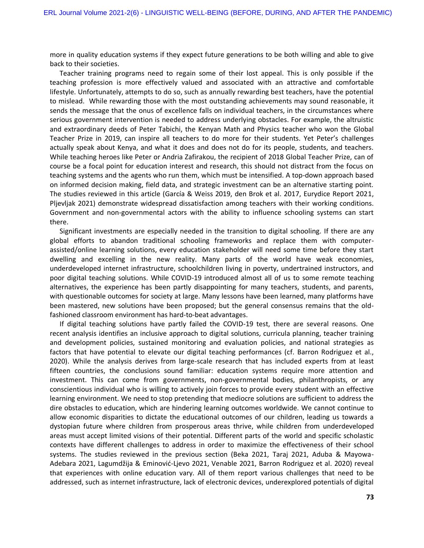more in quality education systems if they expect future generations to be both willing and able to give back to their societies.

Teacher training programs need to regain some of their lost appeal. This is only possible if the teaching profession is more effectively valued and associated with an attractive and comfortable lifestyle. Unfortunately, attempts to do so, such as annually rewarding best teachers, have the potential to mislead. While rewarding those with the most outstanding achievements may sound reasonable, it sends the message that the onus of excellence falls on individual teachers, in the circumstances where serious government intervention is needed to address underlying obstacles. For example, the altruistic and extraordinary deeds of Peter Tabichi, the Kenyan Math and Physics teacher who won the Global Teacher Prize in 2019, can inspire all teachers to do more for their students. Yet Peter's challenges actually speak about Kenya, and what it does and does not do for its people, students, and teachers. While teaching heroes like Peter or Andria Zafirakou, the recipient of 2018 Global Teacher Prize, can of course be a focal point for education interest and research, this should not distract from the focus on teaching systems and the agents who run them, which must be intensified. A top-down approach based on informed decision making, field data, and strategic investment can be an alternative starting point. The studies reviewed in this article (García & Weiss 2019, den Brok et al. 2017, Eurydice Report 2021, Pljevljak 2021) demonstrate widespread dissatisfaction among teachers with their working conditions. Government and non-governmental actors with the ability to influence schooling systems can start there.

Significant investments are especially needed in the transition to digital schooling. If there are any global efforts to abandon traditional schooling frameworks and replace them with computerassisted/online learning solutions, every education stakeholder will need some time before they start dwelling and excelling in the new reality. Many parts of the world have weak economies, underdeveloped internet infrastructure, schoolchildren living in poverty, undertrained instructors, and poor digital teaching solutions. While COVID-19 introduced almost all of us to some remote teaching alternatives, the experience has been partly disappointing for many teachers, students, and parents, with questionable outcomes for society at large. Many lessons have been learned, many platforms have been mastered, new solutions have been proposed; but the general consensus remains that the oldfashioned classroom environment has hard-to-beat advantages.

If digital teaching solutions have partly failed the COVID-19 test, there are several reasons. One recent analysis identifies an inclusive approach to digital solutions, curricula planning, teacher training and development policies, sustained monitoring and evaluation policies, and national strategies as factors that have potential to elevate our digital teaching performances (cf. Barron Rodriguez et al., 2020). While the analysis derives from large-scale research that has included experts from at least fifteen countries, the conclusions sound familiar: education systems require more attention and investment. This can come from governments, non-governmental bodies, philanthropists, or any conscientious individual who is willing to actively join forces to provide every student with an effective learning environment. We need to stop pretending that mediocre solutions are sufficient to address the dire obstacles to education, which are hindering learning outcomes worldwide. We cannot continue to allow economic disparities to dictate the educational outcomes of our children, leading us towards a dystopian future where children from prosperous areas thrive, while children from underdeveloped areas must accept limited visions of their potential. Different parts of the world and specific scholastic contexts have different challenges to address in order to maximize the effectiveness of their school systems. The studies reviewed in the previous section (Beka 2021, Taraj 2021, Aduba & Mayowa-Adebara 2021, Lagumdžija & Eminović-Ljevo 2021, Venable 2021, Barron Rodriguez et al. 2020) reveal that experiences with online education vary. All of them report various challenges that need to be addressed, such as internet infrastructure, lack of electronic devices, underexplored potentials of digital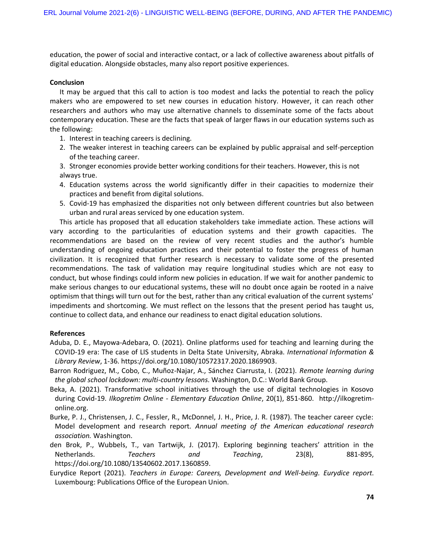education, the power of social and interactive contact, or a lack of collective awareness about pitfalls of digital education. Alongside obstacles, many also report positive experiences.

#### **Conclusion**

It may be argued that this call to action is too modest and lacks the potential to reach the policy makers who are empowered to set new courses in education history. However, it can reach other researchers and authors who may use alternative channels to disseminate some of the facts about contemporary education. These are the facts that speak of larger flaws in our education systems such as the following:

- 1. Interest in teaching careers is declining.
- 2. The weaker interest in teaching careers can be explained by public appraisal and self-perception of the teaching career.
- 3. Stronger economies provide better working conditions for their teachers. However, this is not always true.
- 4. Education systems across the world significantly differ in their capacities to modernize their practices and benefit from digital solutions.
- 5. Covid-19 has emphasized the disparities not only between different countries but also between urban and rural areas serviced by one education system.

This article has proposed that all education stakeholders take immediate action. These actions will vary according to the particularities of education systems and their growth capacities. The recommendations are based on the review of very recent studies and the author's humble understanding of ongoing education practices and their potential to foster the progress of human civilization. It is recognized that further research is necessary to validate some of the presented recommendations. The task of validation may require longitudinal studies which are not easy to conduct, but whose findings could inform new policies in education. If we wait for another pandemic to make serious changes to our educational systems, these will no doubt once again be rooted in a naive optimism that things will turn out for the best, rather than any critical evaluation of the current systems' impediments and shortcoming. We must reflect on the lessons that the present period has taught us, continue to collect data, and enhance our readiness to enact digital education solutions.

### **References**

- Aduba, D. E., Mayowa-Adebara, O. (2021). Online platforms used for teaching and learning during the COVID-19 era: The case of LIS students in Delta State University, Abraka. *International Information & Library Review*, 1-36. [https://doi.org/10.1080/10572317.2020.1869903.](https://doi.org/10.1080/10572317.2020.1869903)
- Barron Rodriguez, M., Cobo, C., Muñoz-Najar, A., Sánchez Ciarrusta, I. (2021). *Remote learning during the global school lockdown: multi-country lessons*. Washington, D.C.: World Bank Group.
- Beka, A. (2021). Transformative school initiatives through the use of digital technologies in Kosovo during Covid-19. *Ilkogretim Online - Elementary Education Online*, 20(1), 851-860. [http://ilkogretim](http://ilkogretim-online.org/)[online.org.](http://ilkogretim-online.org/)
- Burke, P. J., Christensen, J. C., Fessler, R., McDonnel, J. H., Price, J. R. (1987). The teacher career cycle: Model development and research report. *Annual meeting of the American educational research association.* Washington.
- den Brok, P., Wubbels, T., van Tartwijk, J. (2017). Exploring beginning teachers' attrition in the Netherlands. *Teachers and Teaching*, 23(8), 881-895, [https://doi.org/10.1080/13540602.2017.1360859.](https://doi.org/10.1080/13540602.2017.1360859)
- Eurydice Report (2021). *Teachers in Europe: Careers, Development and Well-being. Eurydice report*. Luxembourg: Publications Office of the European Union.